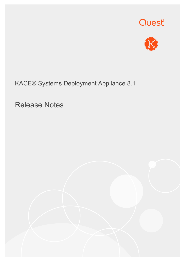



## KACE® Systems Deployment Appliance 8.1

Release Notes

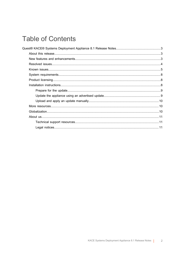## **Table of Contents**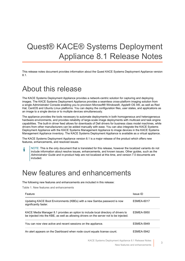# <span id="page-2-0"></span>Quest® KACE® Systems Deployment Appliance 8.1 Release Notes

This release notes document provides information about the Quest KACE Systems Deployment Appliance version 8.1.

## <span id="page-2-1"></span>About this release

The KACE Systems Deployment Appliance provides a network-centric solution for capturing and deploying images. The KACE Systems Deployment Appliance provides a seamless cross-platform imaging solution from a single Administrator Console enabling you to provision Microsoft® Windows®, Apple® OS X®, as well as Red Hat, CentOS and Ubuntu Linux platforms. You can deploy the configuration files, user states, and applications as an image to a single device or to multiple devices simultaneously.

The appliance provides the tools necessary to automate deployments in both homogeneous and heterogeneous hardware environments, and provides reliability of large-scale image deployments with multicast and task engine capabilities. The built-in driver feed allows for downloads of Dell drivers for business class model machines, while drivers from other manufacturers can be added manually with ease. You can also integrate the KACE Systems Deployment Appliance with the KACE Systems Management Appliance to image devices in the KACE Systems Management Appliance inventory. The KACE Systems Deployment Appliance is available as a virtual appliance.

The KACE Systems Deployment Appliance version 8.1 is a major release of the product which offers new features, enhancements, and resolved issues.

NOTE: This is the only document that is translated for this release, however the localized variants do not i include information about resolve issues, enhancements, and known issues. Other guides, such as the *Administrator Guide* and in-product help are not localized at this time, and version 7.0 documents are included.

## <span id="page-2-2"></span>New features and enhancements

The following new features and enhancements are included in this release:

Table 1. New features and enhancements

| Feature                                                                                                                                                                       | Issue ID          |
|-------------------------------------------------------------------------------------------------------------------------------------------------------------------------------|-------------------|
| Updating KACE Boot Environments (KBEs) with a new Samba password is now<br>significantly faster.                                                                              | <b>ESMEA-6017</b> |
| KACE Media Manager 8.1 provides an option to include local directory of drivers to<br>be injected into the KBE, as well as allowing drivers on the server not to be injected. | <b>ESMEA-5950</b> |
| You can now view active and recent sessions on the appliance.                                                                                                                 | <b>ESMEA-5949</b> |
| An alert appears on the Dashboard when node count equals license count.                                                                                                       | <b>ESMEA-5942</b> |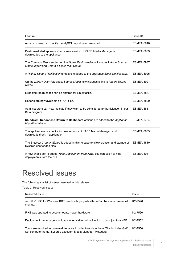| Feature                                                                                                                    | Issue ID          |
|----------------------------------------------------------------------------------------------------------------------------|-------------------|
| An admin user can modify the MySQL report user password.                                                                   | <b>ESMEA-5940</b> |
| Dashboard alert appears when a new version of KACE Media Manager is<br>downloaded to the appliance.                        | <b>ESMEA-5939</b> |
| The Common Tasks section on the Home Dashboard now includes links to Source<br>Media Import and Create a Linux Task Group. | <b>ESMEA-5937</b> |
| A Nightly Update Notification template is added to the appliance Email Notifications.                                      | <b>ESMEA-5925</b> |
| On the Library Overview page, Source Media now includes a link to Import Source<br>Media.                                  | <b>ESMEA-5921</b> |
| Expected return codes can be entered for Linux tasks.                                                                      | <b>ESMEA-5887</b> |
| Reports are now available as PDF files.                                                                                    | <b>ESMEA-5820</b> |
| Administrators can now indicate if they want to be considered for participation in our<br>Beta program.                    | <b>ESMEA-5811</b> |
| Shutdown, Reboot and Return to Dashboard options are added to the Appliance<br>Migration Wizard.                           | <b>ESMEA-5764</b> |
| The appliance now checks for new versions of KACE Media Manager, and<br>downloads them, if applicable.                     | <b>ESMEA-5683</b> |
| The Sysprep Creator Wizard is added in this release to allow creation and storage of<br>Sysprep unattended files.          | <b>ESMEA-4810</b> |
| A new check box is added, Hide Deployment from KBE. You can use it to hide<br>deployments from the KBE.                    | ESMEA-604         |

## <span id="page-3-0"></span>Resolved issues

The following is a list of issues resolved in this release.

Table 2. Resolved Issues

| Resolved issue                                                                                                                                      | Issue ID             |
|-----------------------------------------------------------------------------------------------------------------------------------------------------|----------------------|
| memdisk ISO for Windows KBE now boots properly after a Samba share password<br>change.                                                              | K2-7596              |
| iPXE was updated to accommodate newer hardware                                                                                                      | K2-7560              |
| Deployment menu page now loads when setting a boot action to boot just to a KBE.                                                                    | K <sub>2</sub> -7552 |
| Tools are required to have maintenance in order to update them. This includes Get/<br>Set computer name, Sysprep executor, Media Manager, Metadata. | K <sub>2</sub> -7550 |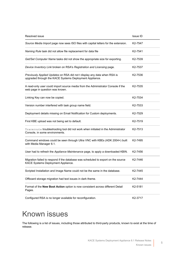| Resolved issue                                                                                                                      | <b>Issue ID</b>      |
|-------------------------------------------------------------------------------------------------------------------------------------|----------------------|
| Source Media Import page now sees ISO files with capital letters for the extension.                                                 | K2-7547              |
| Naming Rule task did not allow file replacement for data file                                                                       | K <sub>2</sub> -7541 |
| Get/Set Computer Name tasks did not show the appropriate size for exporting.                                                        | K2-7539              |
| Device Inventory Link broken on RSA's Registration and Licensing page.                                                              | K2-7537              |
| Previously Applied Updates on RSA did not t display any data when RSA is<br>upgraded through the KACE Systems Deployment Appliance. | K2-7536              |
| A read-only user could import source media from the Administrator Console if the<br>web page in question was known.                 | K2-7535              |
| Linking Key can now be copied.                                                                                                      | K2-7534              |
| Version number interfered with task group name field.                                                                               | K2-7533              |
| Deployment details missing on Email Notification for Custom deployments.                                                            | K2-7529              |
| First KBE upload was not being set to default.                                                                                      | K <sub>2</sub> -7519 |
| Traceroute troubleshooting tool did not work when initiated in the Administrator<br>Console, in some environments.                  | K <sub>2</sub> -7513 |
| Command windows could be seen through Ultra VNC with KBEs (ADK 2004+) built<br>with Media Manager 8.1.                              | K <sub>2</sub> -7495 |
| User had to refresh the Appliance Maintenance page, to apply a downloaded KBIN.                                                     | K2-7456              |
| Migration failed to respond if the database was scheduled to export on the source<br>KACE Systems Deployment Appliance.             | K2-7446              |
| Scripted Installation and Image Name could not be the same in the database.                                                         | K <sub>2</sub> -7445 |
| Offboard storage migration had text issues in dark theme.                                                                           | K2-7444              |
| Format of the New Boot Action option is now consistent across different Detail<br>Pages.                                            | K2-5181              |
| Configured RSA is no longer available for reconfiguration.                                                                          | K2-3717              |

## <span id="page-4-0"></span>Known issues

The following is a list of issues, including those attributed to third-party products, known to exist at the time of release.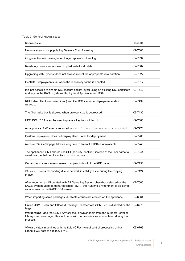Table 3. General known issues

| Known issue                                                                                                                                                                                            | Issue ID             |
|--------------------------------------------------------------------------------------------------------------------------------------------------------------------------------------------------------|----------------------|
| Network scan is not populating Network Scan Inventory.                                                                                                                                                 | K2-7600              |
| Progress Update messages no longer appear in client log.                                                                                                                                               | K2-7594              |
| Read-only users cannot view Scripted Install XML data.                                                                                                                                                 | K2-7587              |
| Upgrading with Hyper-V does not always mount the appropriate disk partition                                                                                                                            | K <sub>2</sub> -7527 |
| CentOS 8 deployments fail when the repository cache is enabled.                                                                                                                                        | K <sub>2</sub> -7517 |
| It is not possible to enable SSL (secure socket layer) using an existing SSL certificate<br>and key on the KACE Systems Deployment Appliance and RSA.                                                  | K <sub>2</sub> -7442 |
| RHEL (Red Hat Enterprise Linux) and CentOS 7 manual deployment ends in<br>dracut.                                                                                                                      | K2-7439              |
| The filter tasks box is skewed when browser size is decreased.                                                                                                                                         | K <sub>2</sub> -7435 |
| UEFI ISO KBE forces the user to press a key to boot from it.                                                                                                                                           | K2-7380              |
| An appliance iPXE error is reported: no configuration methods succeeded.                                                                                                                               | K2-7271              |
| Custom Deployment does not display User States for deployment.                                                                                                                                         | K <sub>2</sub> -7266 |
| Remote Site Detail page takes a long time to timeout if RSA is unavailable.                                                                                                                            | K <sub>2</sub> -7246 |
| The appliance USMT should use SID (security identifier) instead of the user name to<br>avoid unexpected results while scanstate runs.                                                                  | K2-7244              |
| Certain task types cause screens to appear in front of the KBE page.                                                                                                                                   | K <sub>2</sub> -7158 |
| Klonewin stops responding due to network instability issue during file copying<br>phase.                                                                                                               | K <sub>2</sub> -7124 |
| After importing an MI created with All Operating System checkbox selected on the<br>KACE System Management Appliance (SMA), the Runtime Environment is displayed<br>as Windows on the KACE SDA server. | K2-7000              |
| When importing same packages, duplicate entries are created on the appliance.                                                                                                                          | K <sub>2</sub> -6964 |
| Online USMT Scan and Offboard Package Transfer fails if SMB v.1 is disabled on the<br>target.                                                                                                          | K <sub>2</sub> -6775 |
| Workaround: Use the USMT Advisor tool, downloadable from the Support Portal or<br>Library Overview page. This tool helps with common issues encountered during this<br>process.                        |                      |
| VMware virtual machines with multiple vCPUs (virtual central processing units)<br>cannot PXE-boot to a legacy iPXE.                                                                                    | K2-6769              |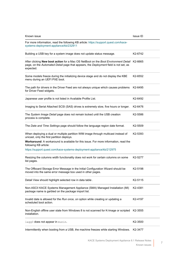| Known issue                                                                                                                                                                             | <b>Issue ID</b>      |
|-----------------------------------------------------------------------------------------------------------------------------------------------------------------------------------------|----------------------|
| For more information, read the following KB article: https://support.quest.com/kace-<br>systems-deployment-appliance/kb/232911                                                          |                      |
| Building a USB key for a system image does not update status message.                                                                                                                   | K2-6742              |
| After clicking New boot action for a Mac OS NetBoot on the Boot Environment Detail<br>page, on the Automated Detail page that appears, the Deployment field is not set, as<br>expected. | K <sub>2</sub> -6665 |
| Some models freeze during the initializing device stage and do not display the KBE<br>menu during an UEFI PXE boot.                                                                     | K2-6552              |
| The path for drivers in the Driver Feed are not always unique which causes problems<br>for Driver Feed widgets.                                                                         | K2-6495              |
| Japanese user profile is not listed in Available Profile List.                                                                                                                          | K2-6492              |
| Imaging to Serial Attached SCSI (SAS) drives is extremely slow, five hours or longer.                                                                                                   | K2-6476              |
| The System Image Detail page does not remain locked until the USB creation<br>process is complete.                                                                                      | K2-5586              |
| The Date and Time Settings page should follow the language region date format.                                                                                                          | K2-5509              |
| When deploying a dual or multiple partition WIM image through multicast instead of<br>unicast, only the first partition deploys.                                                        | K2-5393              |
| <b>Workaround:</b> A workaround is available for this issue. For more information, read the<br>following KB article:                                                                    |                      |
| https://support.quest.com/kace-systems-deployment-appliance/kb/212975                                                                                                                   |                      |
| Resizing the columns width functionality does not work for certain columns on some<br>list pages.                                                                                       | K2-5277              |
| The Offboard Storage Error Message in the Initial Configuration Wizard should be<br>moved into the same error message box used in other pages.                                          | K2-5198              |
| Detail View should highlight selected row in data table.                                                                                                                                | K2-5115              |
| Non-ASCII KACE Systems Management Appliance (SMA) Managed Installation (MI)<br>package name is garbled on the package import list.                                                      | K2-4381              |
| Invalid date is allowed for the Run once, on option while creating or updating a<br>scheduled boot action.                                                                              | K2-4197              |
| Non-English offline user state from Windows 8 is not scanned for K-Image or scripted<br>installation.                                                                                   | K2-3555              |
| lagg0 does not appear in munin.                                                                                                                                                         | K2-3500              |
|                                                                                                                                                                                         |                      |

Intermittently when booting from a USB, the machine freezes while starting Windows. K2-3477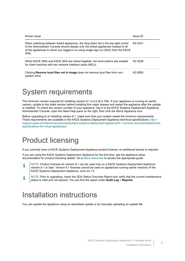| Known issue                                                                                                                                                                                                                                                                   | Issue ID             |
|-------------------------------------------------------------------------------------------------------------------------------------------------------------------------------------------------------------------------------------------------------------------------------|----------------------|
| When switching between linked appliances, the drop-down list in the top-right corner<br>of the Administrator Console should display only the linked appliances instead of all<br>of the appliances to which you logged in to using single sign on (SSO) from the KACE<br>SDA. | K <sub>2</sub> -3241 |
| When KACE SMA and KACE SDA are linked together, two boot actions are created<br>for client machine with two network interface cards (NICs).                                                                                                                                   | K <sub>2</sub> -3226 |
| Clicking <b>Remove local files not in image</b> does not remove local files from non-<br>system drive.                                                                                                                                                                        | K <sub>2</sub> -2855 |

## <span id="page-7-0"></span>System requirements

The minimum version required for installing version 8.1 is 8.0 (8.0.194). If your appliance is running an earlier version, update to the listed version before installing this major release and restart the appliance after the update is installed. To check the version number of your appliance, log in to the KACE Systems Deployment Appliance Administrator Console, open the *Need Help* pane on the right, then click the About Appliance icon.

Before upgrading to or installing version 8.1, make sure that your system meets the minimum requirements. These requirements are available in the KACE Systems Deployment Appliance technical specifications: [http://](http://support.quest.com/technical-documents/kace-systems-deployment-appliance/8.1-common-documents/technical-specifications-for-virtual-appliances/) [support.quest.com/technical-documents/kace-systems-deployment-appliance/8.1-common-documents/technical](http://support.quest.com/technical-documents/kace-systems-deployment-appliance/8.1-common-documents/technical-specifications-for-virtual-appliances/)[specifications-for-virtual-appliances/.](http://support.quest.com/technical-documents/kace-systems-deployment-appliance/8.1-common-documents/technical-specifications-for-virtual-appliances/)

## <span id="page-7-1"></span>Product licensing

If you currently have a KACE Systems Deployment Appliance product license, no additional license is required.

If you are using the KACE Systems Deployment Appliance for the first time, see the appliance setup documentation for product licensing details. Go to [More resources](#page-9-1) to access the appropriate guide.

- NOTE: Product licenses for version 8.1 can be used only on a KACE Systems Deployment Appliance i version 8.1 or later. Version 8.1 licenses cannot be used on appliances running earlier versions of the KACE Systems Deployment Appliance, such as 7.0.
- NOTE: Prior to upgrading, check the *SDA Status Overview Report* and verify that the current maintenance i status is valid and not expired. You can find the report under **Audit Log** > **Reports**.

## <span id="page-7-2"></span>Installation instructions

You can update the appliance using an advertised update or by manually uploading an update file.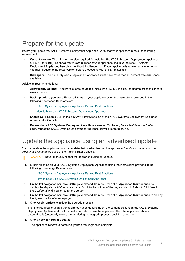### <span id="page-8-0"></span>Prepare for the update

Before you update the KACE Systems Deployment Appliance, verify that your appliance meets the following requirements:

- **Current version**: The minimum version required for installing the KACE Systems Deployment Appliance 8.1 is 8.0 (8.0.194). To check the version number of your appliance, log in to the KACE Systems Deployment Appliance, then click the About Appliance icon. If your appliance is running an earlier version, you must update to the listed version before proceeding with the 8.1 installation.
- **Disk space**: The KACE Systems Deployment Appliance must have more than 20 percent free disk space available.

Additional recommendations:

- **Allow plenty of time**: If you have a large database, more than 150 MB in size, the update process can take several hours.
- **Back up before you start**: Export all items on your appliance using the instructions provided in the following Knowledge Base articles:
	- **[KACE Systems Deployment Appliance Backup Best Practices](https://support.quest.com/kace-systems-deployment-appliance/kb/128866)**
	- [How to back up a KACE Systems Deployment Appliance](https://support.quest.com/kace-systems-deployment-appliance/kb/115080)
- **Enable SSH**: Enable SSH in the *Security Settings* section of the KACE Systems Deployment Appliance Administrator Console.
- **Reboot the KACE Systems Deployment Appliance server**: On the *Appliance Maintenance Settings* page, reboot the KACE Systems Deployment Appliance server prior to updating.

#### <span id="page-8-1"></span>Update the appliance using an advertised update

You can update the appliance using an update that is advertised on the appliance *Dashboard* page or on the *Appliance Maintenance* page of the Administrator Console.

- CAUTION: Never manually reboot the appliance during an update.
- 1. Export all items on your KACE Systems Deployment Appliance using the instructions provided in the following Knowledge Base articles:
	- [KACE Systems Deployment Appliance Backup Best Practices](https://support.quest.com/kace-systems-deployment-appliance/kb/128866)
	- [How to back up a KACE Systems Deployment Appliance](https://support.quest.com/kace-systems-deployment-appliance/kb/115080)
- 2. On the left navigation bar, click **Settings** to expand the menu, then click **Appliance Maintenance**, to display the *Appliance Maintenance* page. Scroll to the bottom of the page and click **Reboot**. Click **Yes** in the *Confirmation* dialog to restart the server.
- 3. On the left navigation bar, click **Settings** to expand the menu, then click **Appliance Maintenance** to display the *Appliance Maintenance* page.
- 4. Click **Apply Update** to initiate the upgrade process.

The time required to update the appliance varies depending on the content present on the KACE Systems Deployment Appliance, do not manually hard shut down the appliance. Also, the appliance reboots automatically (potentially several times) during the upgrade process until it is complete.

#### 5. Click **Check for Server updates**.

The appliance reboots automatically when the upgrade is complete.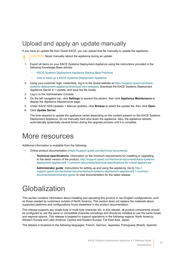### <span id="page-9-0"></span>Upload and apply an update manually

If you have an update file from Quest KACE, you can upload that file manually to update the appliance.

- CAUTION: Never manually reboot the appliance during an update.
- 1. Export all items on your KACE Systems Deployment Appliance using the instructions provided in the following Knowledge Base articles:
	- [KACE Systems Deployment Appliance Backup Best Practices](https://support.quest.com/kace-systems-deployment-appliance/kb/128866)
	- [How to back up a KACE Systems Deployment Appliance](https://support.quest.com/kace-systems-deployment-appliance/kb/115080)
- 2. Using your customer login credentials, log in to the Quest website at [https://support.quest.com/kace](https://support.quest.com/kace-systems-deployment-appliance/download-new-releases)[systems-deployment-appliance/download-new-releases,](https://support.quest.com/kace-systems-deployment-appliance/download-new-releases) download the KACE Systems Deployment Appliance Server 8.1 Update, and save the file locally.
- 3. Log in to the Administrator Console.
- 4. On the left navigation bar, click **Settings** to expand the section, then click **Appliance Maintenance** to display the *Appliance Maintenance* page.
- 5. Under *KACE SDA Updates > Manual Updates*, click **Browse** to select the update file, then click **Open**.
- 6. Click **Update Server**.

The time required to update the appliance varies depending on the content present on the KACE Systems Deployment Appliance, do not manually hard shut down the appliance. Also, the appliance reboots automatically (potentially several times) during the upgrade process until it is complete.

## <span id="page-9-1"></span>More resources

Additional information is available from the following:

- Online product documentation ([https://support.quest.com/technical-documents\)](https://support.quest.com/technical-documents)
	- **Technical specifications**: Information on the minimum requirements for installing or upgrading to the latest version of the product: [http://support.quest.com/technical-documents/kace-systems](http://support.quest.com/technical-documents/kace-systems-deployment-appliance/8.1-common-documents/technical-specifications-for-virtual-appliances/)[deployment-appliance/8.1-common-documents/technical-specifications-for-virtual-appliances/](http://support.quest.com/technical-documents/kace-systems-deployment-appliance/8.1-common-documents/technical-specifications-for-virtual-appliances/)
	- **Administrator guide**: Instructions for setting up and using the appliance. Go to [http://](http://support.quest.com/technical-documents/kace-systems-deployment-appliance/8.1-common-documents/administrator-guide/) [support.quest.com/technical-documents/kace-systems-deployment-appliance/8.1-common](http://support.quest.com/technical-documents/kace-systems-deployment-appliance/8.1-common-documents/administrator-guide/)[documents/administrator-guide/](http://support.quest.com/technical-documents/kace-systems-deployment-appliance/8.1-common-documents/administrator-guide/) to view documentation for the latest release.

## <span id="page-9-2"></span>**Globalization**

This section contains information about installing and operating this product in non-English configurations, such as those needed by customers outside of North America. This section does not replace the materials about supported platforms and configurations found elsewhere in the product documentation.

This release supports any single-byte or multi-byte character set. In this release, all product components should be configured to use the same or compatible character encodings and should be installed to use the same locale and regional options. This release is targeted to support operations in the following regions: North America, Western Europe and Latin America, Central and Eastern Europe, Far-East Asia, Japan.

The release is localized to the following languages: French, German, Japanese, Portuguese (Brazil), Spanish.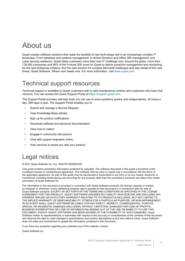## <span id="page-10-0"></span>About us

Quest creates software solutions that make the benefits of new technology real in an increasingly complex IT landscape. From database and systems management, to Active Directory and Office 365 management, and cyber security resilience, Quest helps customers solve their next IT challenge now. Around the globe, more than 130,000 companies and 95% of the Fortune 500 count on Quest to deliver proactive management and monitoring for the next enterprise initiative, find the next solution for complex Microsoft challenges and stay ahead of the next threat. Quest Software. Where next meets now. For more information, visit [www.quest.com.](https://www.quest.com/company/contact-us.aspx)

#### <span id="page-10-1"></span>Technical support resources

Technical support is available to Quest customers with a valid maintenance contract and customers who have trial versions. You can access the Quest Support Portal at [https://support.quest.com.](https://support.quest.com/)

The Support Portal provides self-help tools you can use to solve problems quickly and independently, 24 hours a day, 365 days a year. The Support Portal enables you to:

- Submit and manage a Service Request
- View Knowledge Base articles
- Sign up for product notifications
- Download software and technical documentation
- View how-to-videos
- Engage in community discussions
- Chat with support engineers online
- View services to assist you with your product.

### <span id="page-10-2"></span>Legal notices

© 2021 Quest Software Inc. ALL RIGHTS RESERVED.

This guide contains proprietary information protected by copyright. The software described in this guide is furnished under a software license or nondisclosure agreement. This software may be used or copied only in accordance with the terms of the applicable agreement. No part of this guide may be reproduced or transmitted in any form or by any means, electronic or mechanical, including photocopying and recording for any purpose other than the purchaser's personal use without the written permission of Quest Software Inc.

The information in this document is provided in connection with Quest Software products. No license, express or implied, by estoppel or otherwise, to any intellectual property right is granted by this document or in connection with the sale of Quest Software products. EXCEPT AS SET FORTH IN THE TERMS AND CONDITIONS AS SPECIFIED IN THE LICENSE AGREEMENT FOR THIS PRODUCT, QUEST SOFTWARE ASSUMES NO LIABILITY WHATSOEVER AND DISCLAIMS ANY EXPRESS, IMPLIED OR STATUTORY WARRANTY RELATING TO ITS PRODUCTS INCLUDING, BUT NOT LIMITED TO, THE IMPLIED WARRANTY OF MERCHANTABILITY, FITNESS FOR A PARTICULAR PURPOSE, OR NON-INFRINGEMENT. IN NO EVENT SHALL QUEST SOFTWARE BE LIABLE FOR ANY DIRECT, INDIRECT, CONSEQUENTIAL, PUNITIVE, SPECIAL OR INCIDENTAL DAMAGES (INCLUDING, WITHOUT LIMITATION, DAMAGES FOR LOSS OF PROFITS, BUSINESS INTERRUPTION OR LOSS OF INFORMATION) ARISING OUT OF THE USE OR INABILITY TO USE THIS DOCUMENT, EVEN IF QUEST SOFTWARE HAS BEEN ADVISED OF THE POSSIBILITY OF SUCH DAMAGES. Quest Software makes no representations or warranties with respect to the accuracy or completeness of the contents of this document and reserves the right to make changes to specifications and product descriptions at any time without notice. Quest Software does not make any commitment to update the information contained in this document.

If you have any questions regarding your potential use of this material, contact:

Quest Software Inc.